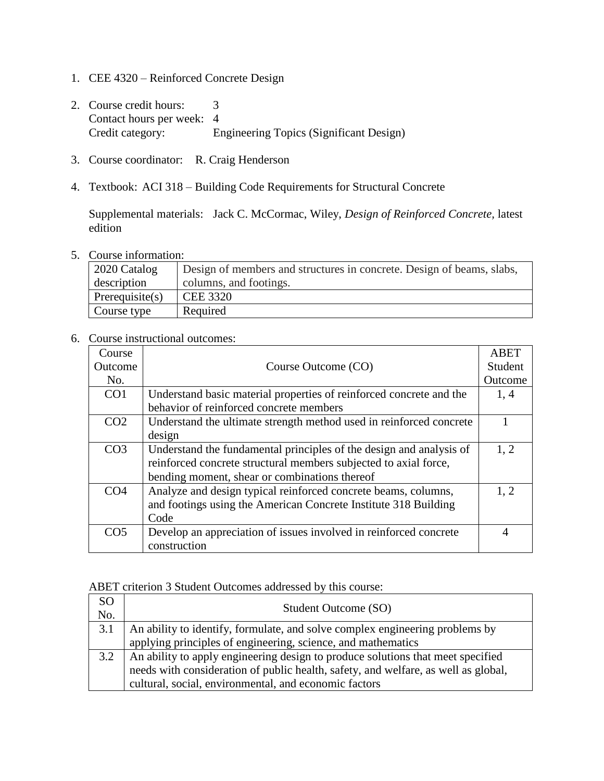- 1. CEE 4320 Reinforced Concrete Design
- 2. Course credit hours: 3 Contact hours per week: 4 Credit category: Engineering Topics (Significant Design)
- 3. Course coordinator: R. Craig Henderson
- 4. Textbook: ACI 318 Building Code Requirements for Structural Concrete

Supplemental materials: Jack C. McCormac, Wiley, *Design of Reinforced Concrete,* latest edition

5. Course information:

| $\vert$ 2020 Catalog | Design of members and structures in concrete. Design of beams, slabs, |
|----------------------|-----------------------------------------------------------------------|
| description          | columns, and footings.                                                |
| Prerequisite $(s)$   | <b>CEE 3320</b>                                                       |
| Course type          | Required                                                              |

## 6. Course instructional outcomes:

| Course          |                                                                     | ABET    |
|-----------------|---------------------------------------------------------------------|---------|
| Outcome         | Course Outcome (CO)                                                 | Student |
| No.             |                                                                     | Outcome |
| CO <sub>1</sub> | Understand basic material properties of reinforced concrete and the | 1, 4    |
|                 | behavior of reinforced concrete members                             |         |
| CO <sub>2</sub> | Understand the ultimate strength method used in reinforced concrete |         |
|                 | design                                                              |         |
| CO <sub>3</sub> | Understand the fundamental principles of the design and analysis of | 1, 2    |
|                 | reinforced concrete structural members subjected to axial force,    |         |
|                 | bending moment, shear or combinations thereof                       |         |
| CO <sub>4</sub> | Analyze and design typical reinforced concrete beams, columns,      | 1.2     |
|                 | and footings using the American Concrete Institute 318 Building     |         |
|                 | Code                                                                |         |
| CO <sub>5</sub> | Develop an appreciation of issues involved in reinforced concrete   | 4       |
|                 | construction                                                        |         |

## ABET criterion 3 Student Outcomes addressed by this course:

| <sub>SO</sub><br>No. | Student Outcome (SO)                                                               |
|----------------------|------------------------------------------------------------------------------------|
| 3.1                  | An ability to identify, formulate, and solve complex engineering problems by       |
|                      | applying principles of engineering, science, and mathematics                       |
| 3.2                  | An ability to apply engineering design to produce solutions that meet specified    |
|                      | needs with consideration of public health, safety, and welfare, as well as global, |
|                      | cultural, social, environmental, and economic factors                              |